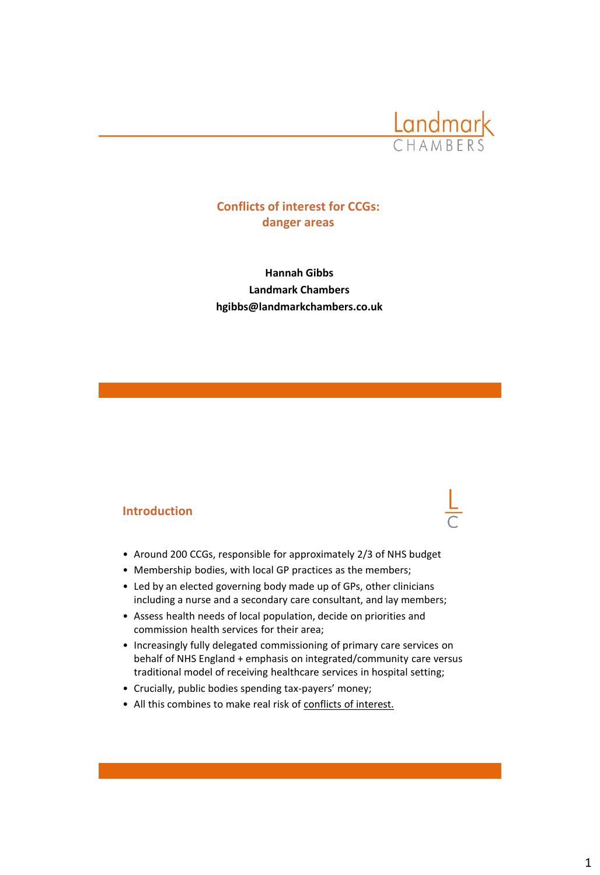

# **Conflicts of interest for CCGs: danger areas**

**Hannah Gibbs Landmark Chambers hgibbs@landmarkchambers.co.uk**

# **Introduction**

- Around 200 CCGs, responsible for approximately 2/3 of NHS budget
- Membership bodies, with local GP practices as the members;
- Led by an elected governing body made up of GPs, other clinicians including a nurse and a secondary care consultant, and lay members;
- Assess health needs of local population, decide on priorities and commission health services for their area;
- Increasingly fully delegated commissioning of primary care services on behalf of NHS England + emphasis on integrated/community care versus traditional model of receiving healthcare services in hospital setting;
- Crucially, public bodies spending tax-payers' money;
- All this combines to make real risk of conflicts of interest.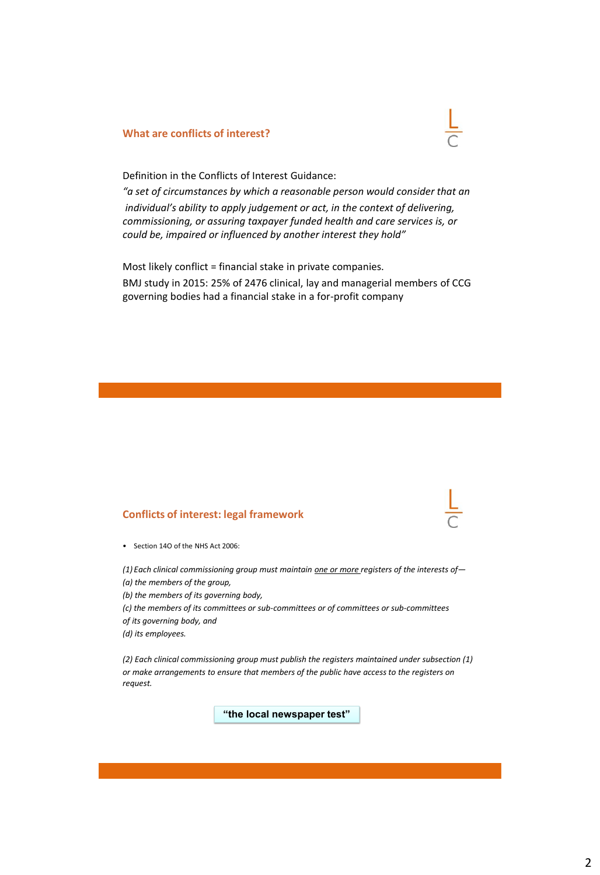## **What are conflicts of interest?**



Definition in the Conflicts of Interest Guidance:

*"a set of circumstances by which a reasonable person would consider that an individual's ability to apply judgement or act, in the context of delivering, commissioning, or assuring taxpayer funded health and care services is, or could be, impaired or influenced by another interest they hold"*

Most likely conflict = financial stake in private companies. BMJ study in 2015: 25% of 2476 clinical, lay and managerial members of CCG governing bodies had a financial stake in a for-profit company

## **Conflicts of interest: legal framework**

• Section 14O of the NHS Act 2006:

*(1) Each clinical commissioning group must maintain one or more registers of the interests of— (a) the members of the group,*

*(b) the members of its governing body,*

*(c) the members of its committees or sub-committees or of committees or sub-committees*

*of its governing body, and*

*(d) its employees.*

*(2) Each clinical commissioning group must publish the registers maintained under subsection (1) or make arrangements to ensure that members of the public have access to the registers on request.*

**"the local newspaper test"**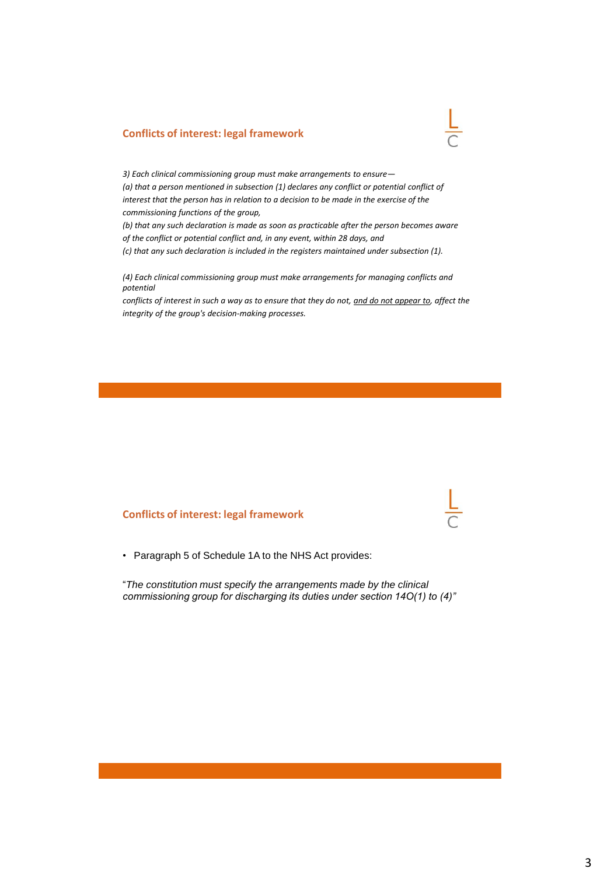## **Conflicts of interest: legal framework**

*3) Each clinical commissioning group must make arrangements to ensure— (a) that a person mentioned in subsection (1) declares any conflict or potential conflict of interest that the person has in relation to a decision to be made in the exercise of the commissioning functions of the group,*

*(b) that any such declaration is made as soon as practicable after the person becomes aware of the conflict or potential conflict and, in any event, within 28 days, and (c) that any such declaration is included in the registers maintained under subsection (1).*

*(4) Each clinical commissioning group must make arrangements for managing conflicts and potential*

*conflicts of interest in such a way as to ensure that they do not, and do not appear to, affect the integrity of the group's decision-making processes.*

## **Conflicts of interest: legal framework**

• Paragraph 5 of Schedule 1A to the NHS Act provides:

"*The constitution must specify the arrangements made by the clinical commissioning group for discharging its duties under section 14O(1) to (4)"*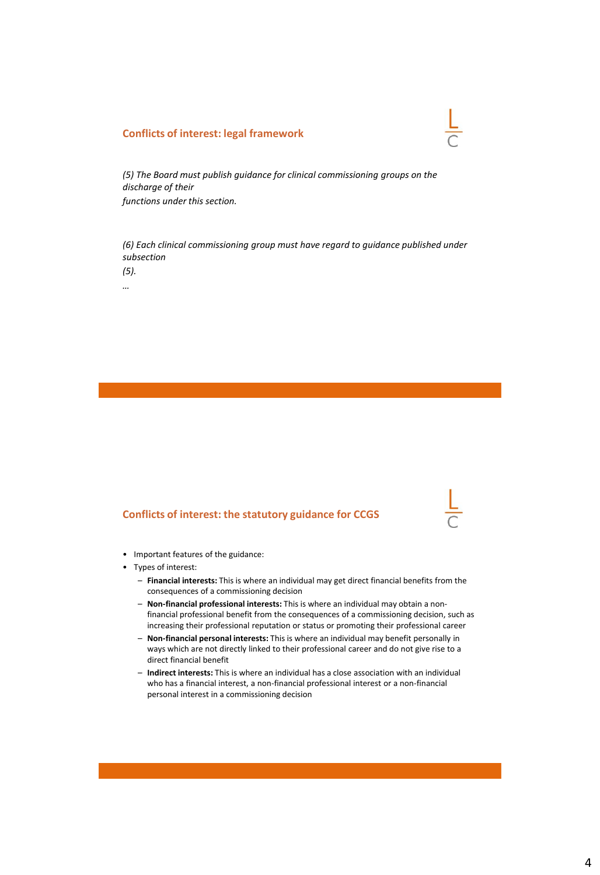## **Conflicts of interest: legal framework**

*(5) The Board must publish guidance for clinical commissioning groups on the discharge of their functions under this section.*

*(6) Each clinical commissioning group must have regard to guidance published under subsection*

*(5).*

*…*

## **Conflicts of interest: the statutory guidance for CCGS**



- Important features of the guidance:
- Types of interest:
	- **Financial interests:** This is where an individual may get direct financial benefits from the consequences of a commissioning decision
	- **Non-financial professional interests:** This is where an individual may obtain a nonfinancial professional benefit from the consequences of a commissioning decision, such as increasing their professional reputation or status or promoting their professional career
	- **Non-financial personal interests:** This is where an individual may benefit personally in ways which are not directly linked to their professional career and do not give rise to a direct financial benefit
	- **Indirect interests:** This is where an individual has a close association with an individual who has a financial interest, a non-financial professional interest or a non-financial personal interest in a commissioning decision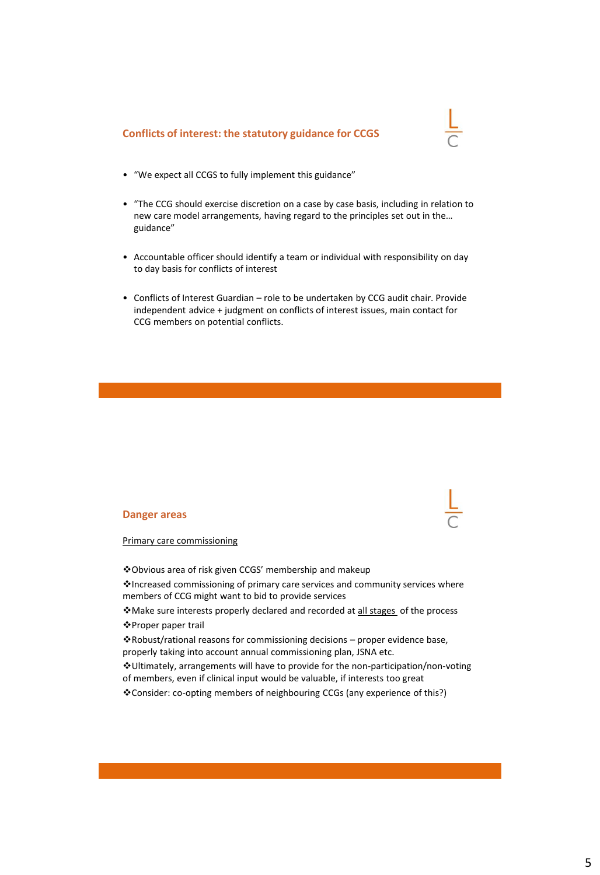## **Conflicts of interest: the statutory guidance for CCGS**



- "We expect all CCGS to fully implement this guidance"
- "The CCG should exercise discretion on a case by case basis, including in relation to new care model arrangements, having regard to the principles set out in the… guidance"
- Accountable officer should identify a team or individual with responsibility on day to day basis for conflicts of interest
- Conflicts of Interest Guardian role to be undertaken by CCG audit chair. Provide independent advice + judgment on conflicts of interest issues, main contact for CCG members on potential conflicts.

## **Danger areas**



Primary care commissioning

❖Obvious area of risk given CCGS' membership and makeup

❖Increased commissioning of primary care services and community services where members of CCG might want to bid to provide services

❖Make sure interests properly declared and recorded at all stages of the process ❖Proper paper trail

❖Robust/rational reasons for commissioning decisions – proper evidence base, properly taking into account annual commissioning plan, JSNA etc.

❖Ultimately, arrangements will have to provide for the non-participation/non-voting of members, even if clinical input would be valuable, if interests too great

❖Consider: co-opting members of neighbouring CCGs (any experience of this?)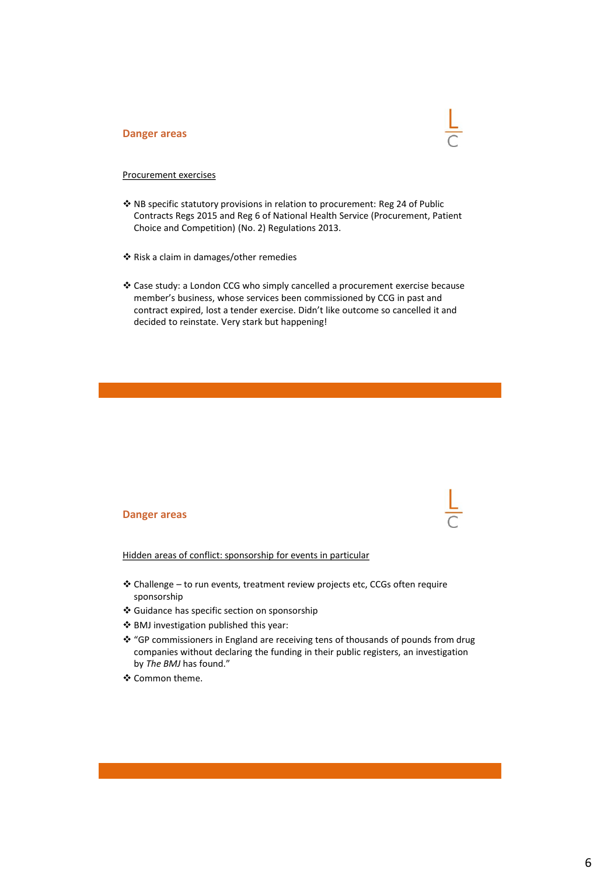#### **Danger areas**



## Procurement exercises

- ❖ NB specific statutory provisions in relation to procurement: Reg 24 of Public Contracts Regs 2015 and Reg 6 of National Health Service (Procurement, Patient Choice and Competition) (No. 2) Regulations 2013.
- ❖ Risk a claim in damages/other remedies
- ❖ Case study: a London CCG who simply cancelled a procurement exercise because member's business, whose services been commissioned by CCG in past and contract expired, lost a tender exercise. Didn't like outcome so cancelled it and decided to reinstate. Very stark but happening!

#### **Danger areas**

Hidden areas of conflict: sponsorship for events in particular

- ❖ Challenge to run events, treatment review projects etc, CCGs often require sponsorship
- ❖ Guidance has specific section on sponsorship
- ❖ BMJ investigation published this year:
- ❖ "GP commissioners in England are receiving tens of thousands of pounds from drug companies without declaring the funding in their public registers, an investigation by *The BMJ* has found."
- ❖ Common theme.